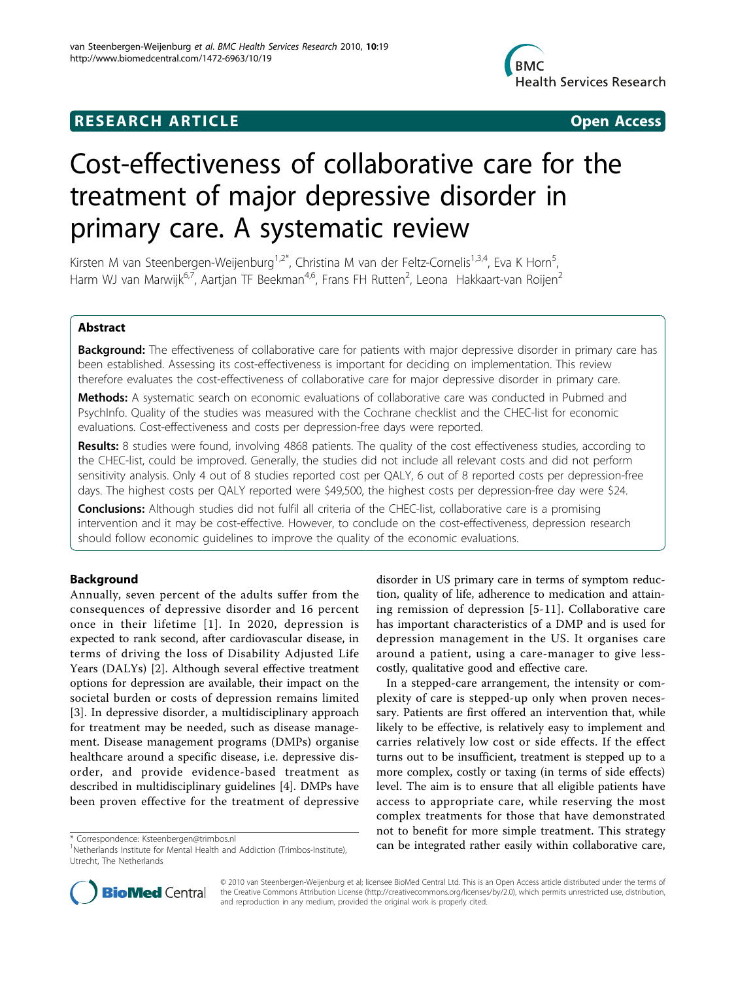## **RESEARCH ARTICLE Example 2018 CONSIDERING ACCESS**



# Cost-effectiveness of collaborative care for the treatment of major depressive disorder in primary care. A systematic review

Kirsten M van Steenbergen-Weijenburg<sup>1,2\*</sup>, Christina M van der Feltz-Cornelis<sup>1,3,4</sup>, Eva K Horn<sup>5</sup>, , Harm WJ van Marwijk<sup>6,7</sup>, Aartjan TF Beekman<sup>4,6</sup>, Frans FH Rutten<sup>2</sup>, Leona Hakkaart-van Roijen<sup>2</sup>

## Abstract

**Background:** The effectiveness of collaborative care for patients with major depressive disorder in primary care has been established. Assessing its cost-effectiveness is important for deciding on implementation. This review therefore evaluates the cost-effectiveness of collaborative care for major depressive disorder in primary care.

**Methods:** A systematic search on economic evaluations of collaborative care was conducted in Pubmed and PsychInfo. Quality of the studies was measured with the Cochrane checklist and the CHEC-list for economic evaluations. Cost-effectiveness and costs per depression-free days were reported.

Results: 8 studies were found, involving 4868 patients. The quality of the cost effectiveness studies, according to the CHEC-list, could be improved. Generally, the studies did not include all relevant costs and did not perform sensitivity analysis. Only 4 out of 8 studies reported cost per QALY, 6 out of 8 reported costs per depression-free days. The highest costs per QALY reported were \$49,500, the highest costs per depression-free day were \$24.

**Conclusions:** Although studies did not fulfil all criteria of the CHEC-list, collaborative care is a promising intervention and it may be cost-effective. However, to conclude on the cost-effectiveness, depression research should follow economic guidelines to improve the quality of the economic evaluations.

## Background

Annually, seven percent of the adults suffer from the consequences of depressive disorder and 16 percent once in their lifetime [[1\]](#page-8-0). In 2020, depression is expected to rank second, after cardiovascular disease, in terms of driving the loss of Disability Adjusted Life Years (DALYs) [\[2](#page-8-0)]. Although several effective treatment options for depression are available, their impact on the societal burden or costs of depression remains limited [[3\]](#page-8-0). In depressive disorder, a multidisciplinary approach for treatment may be needed, such as disease management. Disease management programs (DMPs) organise healthcare around a specific disease, i.e. depressive disorder, and provide evidence-based treatment as described in multidisciplinary guidelines [\[4](#page-8-0)]. DMPs have been proven effective for the treatment of depressive

disorder in US primary care in terms of symptom reduction, quality of life, adherence to medication and attaining remission of depression [[5-11\]](#page-8-0). Collaborative care has important characteristics of a DMP and is used for depression management in the US. It organises care around a patient, using a care-manager to give lesscostly, qualitative good and effective care.

In a stepped-care arrangement, the intensity or complexity of care is stepped-up only when proven necessary. Patients are first offered an intervention that, while likely to be effective, is relatively easy to implement and carries relatively low cost or side effects. If the effect turns out to be insufficient, treatment is stepped up to a more complex, costly or taxing (in terms of side effects) level. The aim is to ensure that all eligible patients have access to appropriate care, while reserving the most complex treatments for those that have demonstrated not to benefit for more simple treatment. This strategy \* Correspondence: [Ksteenbergen@trimbos.nl](mailto:Ksteenbergen@trimbos.nl)<br><sup>1</sup>Netherlands Institute for Mental Health and Addiction (Trimbos-Institute) **can be integrated rather easily within collaborative care,** 



© 2010 van Steenbergen-Weijenburg et al; licensee BioMed Central Ltd. This is an Open Access article distributed under the terms of the Creative Commons Attribution License [\(http://creativecommons.org/licenses/by/2.0](http://creativecommons.org/licenses/by/2.0)), which permits unrestricted use, distribution, and reproduction in any medium, provided the original work is properly cited.

<sup>&</sup>lt;sup>1</sup>Netherlands Institute for Mental Health and Addiction (Trimbos-Institute), Utrecht, The Netherlands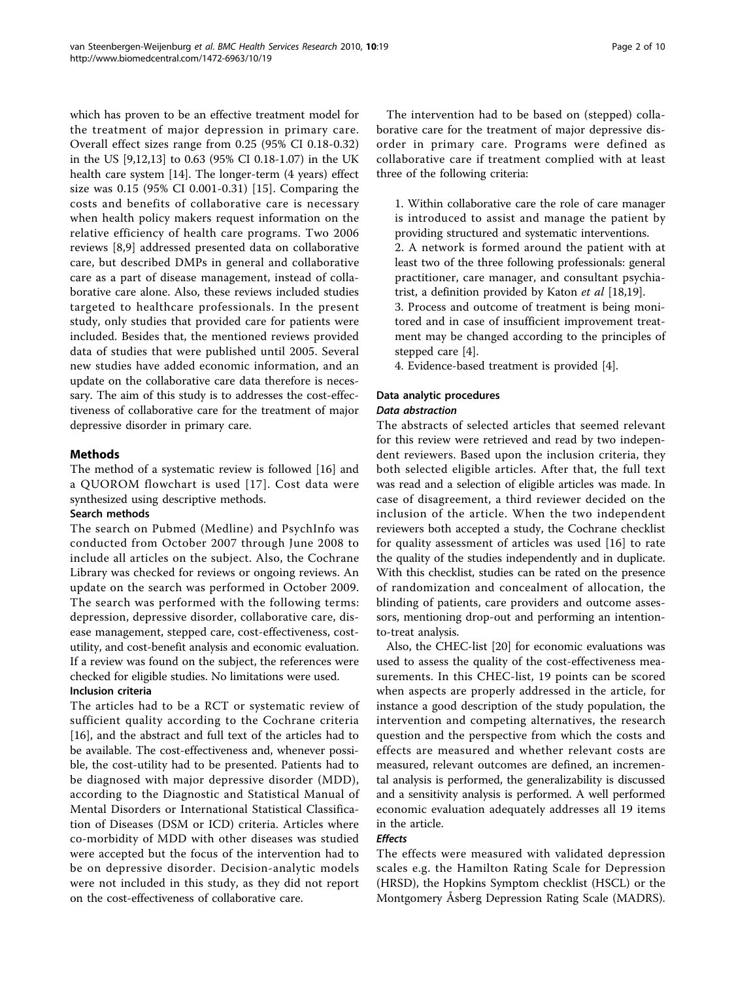which has proven to be an effective treatment model for the treatment of major depression in primary care. Overall effect sizes range from 0.25 (95% CI 0.18-0.32) in the US [[9,12,13](#page-8-0)] to 0.63 (95% CI 0.18-1.07) in the UK health care system [[14](#page-8-0)]. The longer-term (4 years) effect size was 0.15 (95% CI 0.001-0.31) [\[15](#page-8-0)]. Comparing the costs and benefits of collaborative care is necessary when health policy makers request information on the relative efficiency of health care programs. Two 2006 reviews [\[8](#page-8-0),[9\]](#page-8-0) addressed presented data on collaborative care, but described DMPs in general and collaborative care as a part of disease management, instead of collaborative care alone. Also, these reviews included studies targeted to healthcare professionals. In the present study, only studies that provided care for patients were included. Besides that, the mentioned reviews provided data of studies that were published until 2005. Several new studies have added economic information, and an update on the collaborative care data therefore is necessary. The aim of this study is to addresses the cost-effectiveness of collaborative care for the treatment of major depressive disorder in primary care.

## Methods

The method of a systematic review is followed [[16\]](#page-8-0) and a QUOROM flowchart is used [[17\]](#page-8-0). Cost data were synthesized using descriptive methods.

#### Search methods

The search on Pubmed (Medline) and PsychInfo was conducted from October 2007 through June 2008 to include all articles on the subject. Also, the Cochrane Library was checked for reviews or ongoing reviews. An update on the search was performed in October 2009. The search was performed with the following terms: depression, depressive disorder, collaborative care, disease management, stepped care, cost-effectiveness, costutility, and cost-benefit analysis and economic evaluation. If a review was found on the subject, the references were checked for eligible studies. No limitations were used.

## Inclusion criteria

The articles had to be a RCT or systematic review of sufficient quality according to the Cochrane criteria [[16\]](#page-8-0), and the abstract and full text of the articles had to be available. The cost-effectiveness and, whenever possible, the cost-utility had to be presented. Patients had to be diagnosed with major depressive disorder (MDD), according to the Diagnostic and Statistical Manual of Mental Disorders or International Statistical Classification of Diseases (DSM or ICD) criteria. Articles where co-morbidity of MDD with other diseases was studied were accepted but the focus of the intervention had to be on depressive disorder. Decision-analytic models were not included in this study, as they did not report on the cost-effectiveness of collaborative care.

The intervention had to be based on (stepped) collaborative care for the treatment of major depressive disorder in primary care. Programs were defined as collaborative care if treatment complied with at least three of the following criteria:

1. Within collaborative care the role of care manager is introduced to assist and manage the patient by providing structured and systematic interventions. 2. A network is formed around the patient with at least two of the three following professionals: general practitioner, care manager, and consultant psychia-trist, a definition provided by Katon et al [\[18,19](#page-8-0)]. 3. Process and outcome of treatment is being moni-

tored and in case of insufficient improvement treatment may be changed according to the principles of stepped care [\[4](#page-8-0)].

4. Evidence-based treatment is provided [\[4](#page-8-0)].

## Data analytic procedures

#### Data abstraction

The abstracts of selected articles that seemed relevant for this review were retrieved and read by two independent reviewers. Based upon the inclusion criteria, they both selected eligible articles. After that, the full text was read and a selection of eligible articles was made. In case of disagreement, a third reviewer decided on the inclusion of the article. When the two independent reviewers both accepted a study, the Cochrane checklist for quality assessment of articles was used [\[16\]](#page-8-0) to rate the quality of the studies independently and in duplicate. With this checklist, studies can be rated on the presence of randomization and concealment of allocation, the blinding of patients, care providers and outcome assessors, mentioning drop-out and performing an intentionto-treat analysis.

Also, the CHEC-list [[20\]](#page-9-0) for economic evaluations was used to assess the quality of the cost-effectiveness measurements. In this CHEC-list, 19 points can be scored when aspects are properly addressed in the article, for instance a good description of the study population, the intervention and competing alternatives, the research question and the perspective from which the costs and effects are measured and whether relevant costs are measured, relevant outcomes are defined, an incremental analysis is performed, the generalizability is discussed and a sensitivity analysis is performed. A well performed economic evaluation adequately addresses all 19 items in the article.

## **Effects**

The effects were measured with validated depression scales e.g. the Hamilton Rating Scale for Depression (HRSD), the Hopkins Symptom checklist (HSCL) or the Montgomery Åsberg Depression Rating Scale (MADRS).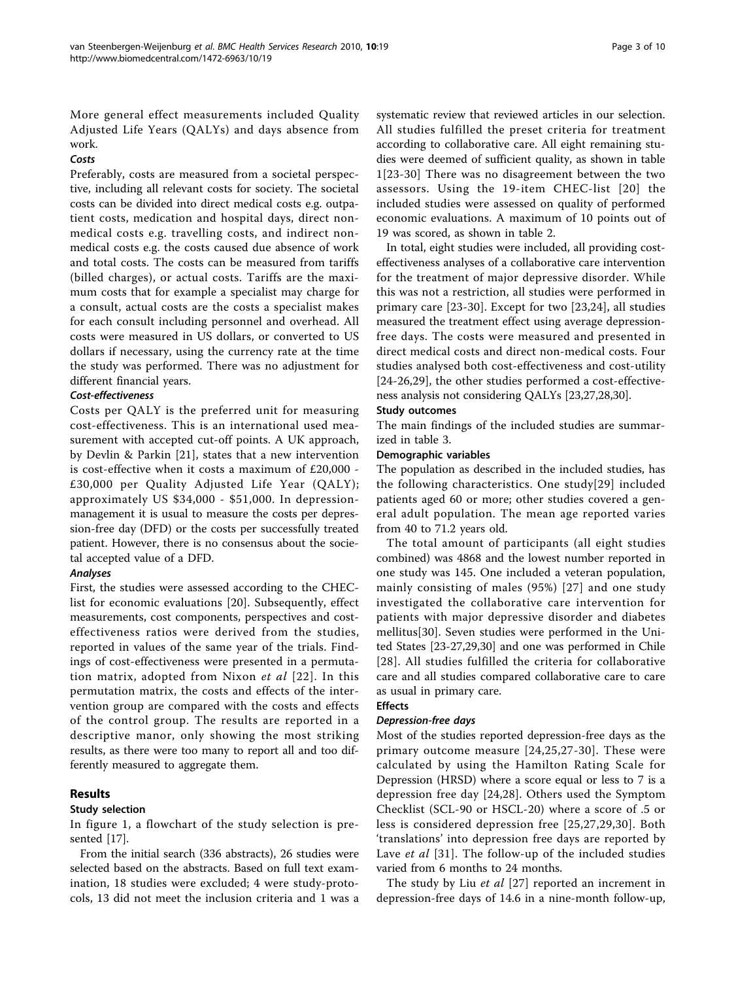More general effect measurements included Quality Adjusted Life Years (QALYs) and days absence from work.

#### Costs

Preferably, costs are measured from a societal perspective, including all relevant costs for society. The societal costs can be divided into direct medical costs e.g. outpatient costs, medication and hospital days, direct nonmedical costs e.g. travelling costs, and indirect nonmedical costs e.g. the costs caused due absence of work and total costs. The costs can be measured from tariffs (billed charges), or actual costs. Tariffs are the maximum costs that for example a specialist may charge for a consult, actual costs are the costs a specialist makes for each consult including personnel and overhead. All costs were measured in US dollars, or converted to US dollars if necessary, using the currency rate at the time the study was performed. There was no adjustment for different financial years.

## Cost-effectiveness

Costs per QALY is the preferred unit for measuring cost-effectiveness. This is an international used measurement with accepted cut-off points. A UK approach, by Devlin & Parkin [\[21](#page-9-0)], states that a new intervention is cost-effective when it costs a maximum of £20,000 - £30,000 per Quality Adjusted Life Year (QALY); approximately US \$34,000 - \$51,000. In depressionmanagement it is usual to measure the costs per depression-free day (DFD) or the costs per successfully treated patient. However, there is no consensus about the societal accepted value of a DFD.

## Analyses

First, the studies were assessed according to the CHEClist for economic evaluations [[20\]](#page-9-0). Subsequently, effect measurements, cost components, perspectives and costeffectiveness ratios were derived from the studies, reported in values of the same year of the trials. Findings of cost-effectiveness were presented in a permutation matrix, adopted from Nixon et al [[22\]](#page-9-0). In this permutation matrix, the costs and effects of the intervention group are compared with the costs and effects of the control group. The results are reported in a descriptive manor, only showing the most striking results, as there were too many to report all and too differently measured to aggregate them.

## Results

## Study selection

In figure [1,](#page-3-0) a flowchart of the study selection is presented [\[17](#page-8-0)].

From the initial search (336 abstracts), 26 studies were selected based on the abstracts. Based on full text examination, 18 studies were excluded; 4 were study-protocols, 13 did not meet the inclusion criteria and 1 was a systematic review that reviewed articles in our selection. All studies fulfilled the preset criteria for treatment according to collaborative care. All eight remaining studies were deemed of sufficient quality, as shown in table [1\[](#page-3-0)[23-30](#page-9-0)] There was no disagreement between the two assessors. Using the 19-item CHEC-list [[20\]](#page-9-0) the included studies were assessed on quality of performed economic evaluations. A maximum of 10 points out of 19 was scored, as shown in table [2.](#page-4-0)

In total, eight studies were included, all providing costeffectiveness analyses of a collaborative care intervention for the treatment of major depressive disorder. While this was not a restriction, all studies were performed in primary care [[23-30\]](#page-9-0). Except for two [\[23,24](#page-9-0)], all studies measured the treatment effect using average depressionfree days. The costs were measured and presented in direct medical costs and direct non-medical costs. Four studies analysed both cost-effectiveness and cost-utility [[24](#page-9-0)-[26,29](#page-9-0)], the other studies performed a cost-effectiveness analysis not considering QALYs [\[23,27,28,30\]](#page-9-0).

## Study outcomes

The main findings of the included studies are summarized in table [3](#page-5-0).

## Demographic variables

The population as described in the included studies, has the following characteristics. One study[[29](#page-9-0)] included patients aged 60 or more; other studies covered a general adult population. The mean age reported varies from 40 to 71.2 years old.

The total amount of participants (all eight studies combined) was 4868 and the lowest number reported in one study was 145. One included a veteran population, mainly consisting of males (95%) [[27](#page-9-0)] and one study investigated the collaborative care intervention for patients with major depressive disorder and diabetes mellitus[[30\]](#page-9-0). Seven studies were performed in the United States [\[23](#page-9-0)-[27](#page-9-0),[29](#page-9-0),[30](#page-9-0)] and one was performed in Chile [[28\]](#page-9-0). All studies fulfilled the criteria for collaborative care and all studies compared collaborative care to care as usual in primary care.

## Effects

## Depression-free days

Most of the studies reported depression-free days as the primary outcome measure [[24,25,27-30\]](#page-9-0). These were calculated by using the Hamilton Rating Scale for Depression (HRSD) where a score equal or less to 7 is a depression free day [\[24](#page-9-0),[28](#page-9-0)]. Others used the Symptom Checklist (SCL-90 or HSCL-20) where a score of .5 or less is considered depression free [[25,27,29,30\]](#page-9-0). Both 'translations' into depression free days are reported by Lave *et al* [[31\]](#page-9-0). The follow-up of the included studies varied from 6 months to 24 months.

The study by Liu et al [[27\]](#page-9-0) reported an increment in depression-free days of 14.6 in a nine-month follow-up,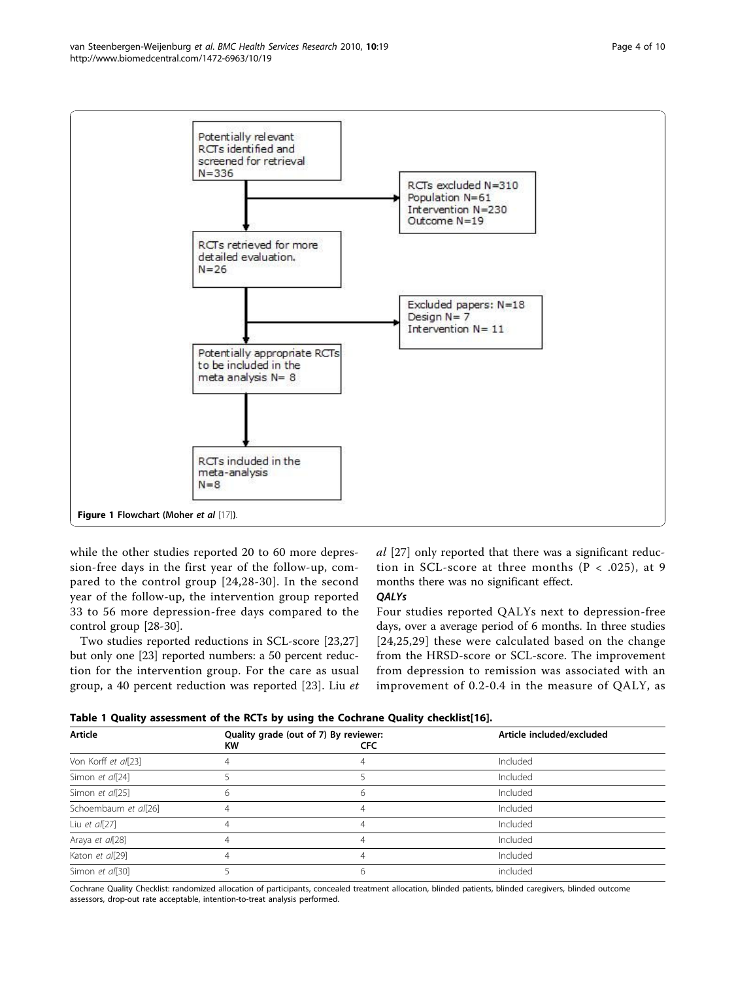<span id="page-3-0"></span>

while the other studies reported 20 to 60 more depression-free days in the first year of the follow-up, compared to the control group [[24](#page-9-0),[28](#page-9-0)-[30\]](#page-9-0). In the second year of the follow-up, the intervention group reported 33 to 56 more depression-free days compared to the control group [[28](#page-9-0)-[30\]](#page-9-0).

Two studies reported reductions in SCL-score [\[23,27](#page-9-0)] but only one [\[23\]](#page-9-0) reported numbers: a 50 percent reduction for the intervention group. For the care as usual group, a 40 percent reduction was reported [\[23](#page-9-0)]. Liu et al [\[27](#page-9-0)] only reported that there was a significant reduction in SCL-score at three months ( $P < .025$ ), at 9 months there was no significant effect.

#### **QALYs**

Four studies reported QALYs next to depression-free days, over a average period of 6 months. In three studies [[24,25](#page-9-0),[29](#page-9-0)] these were calculated based on the change from the HRSD-score or SCL-score. The improvement from depression to remission was associated with an improvement of 0.2-0.4 in the measure of QALY, as

| Table 1 Quality assessment of the RCTs by using the Cochrane Quality checklist[16]. |
|-------------------------------------------------------------------------------------|
|-------------------------------------------------------------------------------------|

| Article              | KW | Quality grade (out of 7) By reviewer:<br>CFC | Article included/excluded |  |  |
|----------------------|----|----------------------------------------------|---------------------------|--|--|
| Von Korff et al[23]  |    |                                              | Included                  |  |  |
| Simon et al[24]      |    |                                              | Included                  |  |  |
| Simon et al[25]      |    |                                              | Included                  |  |  |
| Schoembaum et al[26] |    |                                              | Included                  |  |  |
| Liu et $a/[27]$      |    | 4                                            | Included                  |  |  |
| Araya et al[28]      |    | 4                                            | Included                  |  |  |
| Katon et al[29]      |    |                                              | Included                  |  |  |
| Simon et al[30]      |    |                                              | included                  |  |  |

Cochrane Quality Checklist: randomized allocation of participants, concealed treatment allocation, blinded patients, blinded caregivers, blinded outcome assessors, drop-out rate acceptable, intention-to-treat analysis performed.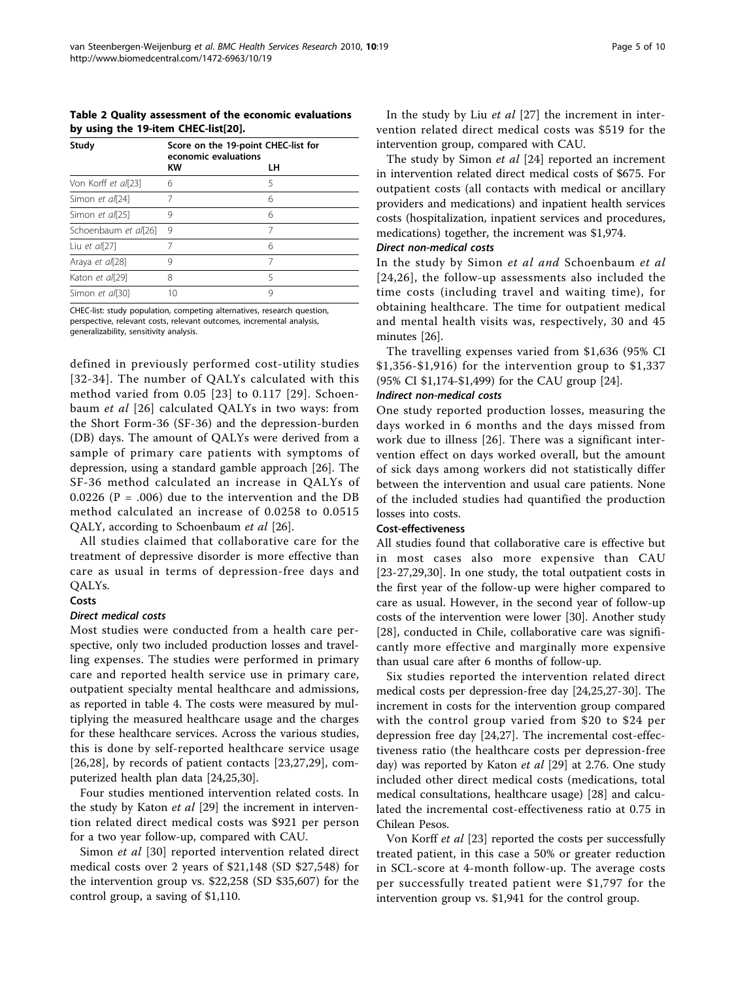<span id="page-4-0"></span>Table 2 Quality assessment of the economic evaluations by using the 19-item CHEC-list[[20](#page-9-0)].

| Study                | Score on the 19-point CHEC-list for<br>economic evaluations |    |  |
|----------------------|-------------------------------------------------------------|----|--|
|                      | <b>KW</b>                                                   | LН |  |
| Von Korff et al[23]  | 6                                                           | 5  |  |
| Simon et al[24]      |                                                             | 6  |  |
| Simon et al[25]      | 9                                                           | 6  |  |
| Schoenbaum et al[26] | 9                                                           | 7  |  |
| Liu et $a/[27]$      |                                                             | 6  |  |
| Araya et al[28]      | 9                                                           |    |  |
| Katon et al[29]      | 8                                                           | 5  |  |
| Simon et al[30]      | 10                                                          | 9  |  |

CHEC-list: study population, competing alternatives, research question, perspective, relevant costs, relevant outcomes, incremental analysis, generalizability, sensitivity analysis.

defined in previously performed cost-utility studies [[32-34](#page-9-0)]. The number of QALYs calculated with this method varied from 0.05 [[23\]](#page-9-0) to 0.117 [[29\]](#page-9-0). Schoenbaum et al [[26\]](#page-9-0) calculated QALYs in two ways: from the Short Form-36 (SF-36) and the depression-burden (DB) days. The amount of QALYs were derived from a sample of primary care patients with symptoms of depression, using a standard gamble approach [[26](#page-9-0)]. The SF-36 method calculated an increase in QALYs of 0.0226 ( $P = .006$ ) due to the intervention and the DB method calculated an increase of 0.0258 to 0.0515 QALY, according to Schoenbaum et al [\[26\]](#page-9-0).

All studies claimed that collaborative care for the treatment of depressive disorder is more effective than care as usual in terms of depression-free days and QALYs.

## Costs

#### Direct medical costs

Most studies were conducted from a health care perspective, only two included production losses and travelling expenses. The studies were performed in primary care and reported health service use in primary care, outpatient specialty mental healthcare and admissions, as reported in table [4](#page-6-0). The costs were measured by multiplying the measured healthcare usage and the charges for these healthcare services. Across the various studies, this is done by self-reported healthcare service usage  $[26,28]$  $[26,28]$  $[26,28]$ , by records of patient contacts  $[23,27,29]$  $[23,27,29]$ , computerized health plan data [\[24,25,30](#page-9-0)].

Four studies mentioned intervention related costs. In the study by Katon et al [\[29](#page-9-0)] the increment in intervention related direct medical costs was \$921 per person for a two year follow-up, compared with CAU.

Simon et al [[30\]](#page-9-0) reported intervention related direct medical costs over 2 years of \$21,148 (SD \$27,548) for the intervention group vs. \$22,258 (SD \$35,607) for the control group, a saving of \$1,110.

In the study by Liu et al  $[27]$  $[27]$  the increment in intervention related direct medical costs was \$519 for the intervention group, compared with CAU.

The study by Simon et al [\[24](#page-9-0)] reported an increment in intervention related direct medical costs of \$675. For outpatient costs (all contacts with medical or ancillary providers and medications) and inpatient health services costs (hospitalization, inpatient services and procedures, medications) together, the increment was \$1,974.

#### Direct non-medical costs

In the study by Simon et al and Schoenbaum et al [[24,26\]](#page-9-0), the follow-up assessments also included the time costs (including travel and waiting time), for obtaining healthcare. The time for outpatient medical and mental health visits was, respectively, 30 and 45 minutes [[26\]](#page-9-0).

The travelling expenses varied from \$1,636 (95% CI \$1,356-\$1,916) for the intervention group to \$1,337 (95% CI \$1,174-\$1,499) for the CAU group [[24\]](#page-9-0).

#### Indirect non-medical costs

One study reported production losses, measuring the days worked in 6 months and the days missed from work due to illness [\[26](#page-9-0)]. There was a significant intervention effect on days worked overall, but the amount of sick days among workers did not statistically differ between the intervention and usual care patients. None of the included studies had quantified the production losses into costs.

#### Cost-effectiveness

All studies found that collaborative care is effective but in most cases also more expensive than CAU [[23-27](#page-9-0),[29,30\]](#page-9-0). In one study, the total outpatient costs in the first year of the follow-up were higher compared to care as usual. However, in the second year of follow-up costs of the intervention were lower [[30\]](#page-9-0). Another study [[28](#page-9-0)], conducted in Chile, collaborative care was significantly more effective and marginally more expensive than usual care after 6 months of follow-up.

Six studies reported the intervention related direct medical costs per depression-free day [\[24,25,27](#page-9-0)-[30\]](#page-9-0). The increment in costs for the intervention group compared with the control group varied from \$20 to \$24 per depression free day [\[24,27](#page-9-0)]. The incremental cost-effectiveness ratio (the healthcare costs per depression-free day) was reported by Katon et al [[29\]](#page-9-0) at 2.76. One study included other direct medical costs (medications, total medical consultations, healthcare usage) [[28\]](#page-9-0) and calculated the incremental cost-effectiveness ratio at 0.75 in Chilean Pesos.

Von Korff et al [[23\]](#page-9-0) reported the costs per successfully treated patient, in this case a 50% or greater reduction in SCL-score at 4-month follow-up. The average costs per successfully treated patient were \$1,797 for the intervention group vs. \$1,941 for the control group.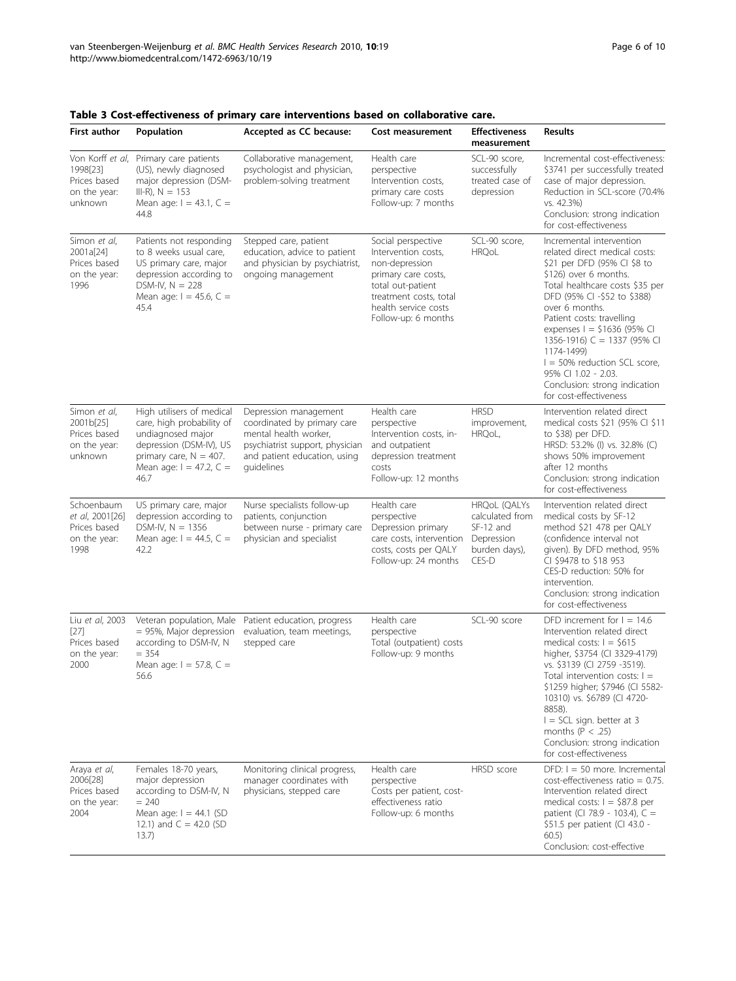| <b>First author</b>                                                              | Population                                                                                                                                                                | Accepted as CC because:                                                                                                                                        | Cost measurement                                                                                                                                                                 | <b>Effectiveness</b><br>measurement                                                  | <b>Results</b>                                                                                                                                                                                                                                                                                                                                                                                                                      |
|----------------------------------------------------------------------------------|---------------------------------------------------------------------------------------------------------------------------------------------------------------------------|----------------------------------------------------------------------------------------------------------------------------------------------------------------|----------------------------------------------------------------------------------------------------------------------------------------------------------------------------------|--------------------------------------------------------------------------------------|-------------------------------------------------------------------------------------------------------------------------------------------------------------------------------------------------------------------------------------------------------------------------------------------------------------------------------------------------------------------------------------------------------------------------------------|
| Von Korff et al,<br>1998[23]<br>Prices based<br>on the year:<br>unknown          | Primary care patients<br>(US), newly diagnosed<br>major depression (DSM-<br>$III-R$ , $N = 153$<br>Mean age: $I = 43.1, C =$<br>44.8                                      | Collaborative management,<br>psychologist and physician,<br>problem-solving treatment                                                                          | Health care<br>perspective<br>Intervention costs,<br>primary care costs<br>Follow-up: 7 months                                                                                   | SCL-90 score.<br>successfully<br>treated case of<br>depression                       | Incremental cost-effectiveness:<br>\$3741 per successfully treated<br>case of major depression.<br>Reduction in SCL-score (70.4%<br>vs. 42.3%)<br>Conclusion: strong indication<br>for cost-effectiveness                                                                                                                                                                                                                           |
| Simon et al,<br>2001a[24]<br>Prices based<br>on the year:<br>1996                | Patients not responding<br>to 8 weeks usual care,<br>US primary care, major<br>depression according to<br>DSM-IV, $N = 228$<br>Mean age: $I = 45.6$ , C =<br>45.4         | Stepped care, patient<br>education, advice to patient<br>and physician by psychiatrist,<br>ongoing management                                                  | Social perspective<br>Intervention costs,<br>non-depression<br>primary care costs,<br>total out-patient<br>treatment costs, total<br>health service costs<br>Follow-up: 6 months | SCL-90 score,<br><b>HRQoL</b>                                                        | Incremental intervention<br>related direct medical costs:<br>\$21 per DFD (95% CI \$8 to<br>\$126) over 6 months.<br>Total healthcare costs \$35 per<br>DFD (95% CI -\$52 to \$388)<br>over 6 months.<br>Patient costs: travelling<br>expenses I = \$1636 (95% CI<br>1356-1916) C = 1337 (95% CI<br>1174-1499)<br>$I = 50\%$ reduction SCL score,<br>95% CI 1.02 - 2.03.<br>Conclusion: strong indication<br>for cost-effectiveness |
| Simon et al,<br>2001b <sub>[25]</sub><br>Prices based<br>on the year:<br>unknown | High utilisers of medical<br>care, high probability of<br>undiagnosed major<br>depression (DSM-IV), US<br>primary care, $N = 407$ .<br>Mean age: $I = 47.2$ , C =<br>46.7 | Depression management<br>coordinated by primary care<br>mental health worker,<br>psychiatrist support, physician<br>and patient education, using<br>quidelines | Health care<br>perspective<br>Intervention costs, in-<br>and outpatient<br>depression treatment<br>costs<br>Follow-up: 12 months                                                 | <b>HRSD</b><br>improvement,<br>HRQoL,                                                | Intervention related direct<br>medical costs \$21 (95% CI \$11<br>to \$38) per DFD.<br>HRSD: 53.2% (I) vs. 32.8% (C)<br>shows 50% improvement<br>after 12 months<br>Conclusion: strong indication<br>for cost-effectiveness                                                                                                                                                                                                         |
| Schoenbaum<br>et al, 2001[26]<br>Prices based<br>on the year:<br>1998            | US primary care, major<br>depression according to<br>$DSM-IV, N = 1356$<br>Mean age: $I = 44.5$ , C =<br>42.2                                                             | Nurse specialists follow-up<br>patients, conjunction<br>between nurse - primary care<br>physician and specialist                                               | Health care<br>perspective<br>Depression primary<br>care costs, intervention<br>costs, costs per QALY<br>Follow-up: 24 months                                                    | HRQoL (QALYs<br>calculated from<br>SF-12 and<br>Depression<br>burden days),<br>CES-D | Intervention related direct<br>medical costs by SF-12<br>method \$21 478 per QALY<br>(confidence interval not<br>given). By DFD method, 95%<br>CI \$9478 to \$18 953<br>CES-D reduction: 50% for<br>intervention.<br>Conclusion: strong indication<br>for cost-effectiveness                                                                                                                                                        |
| Liu et al, 2003<br>$[27]$<br>Prices based<br>on the year:<br>2000                | Veteran population, Male<br>= 95%, Major depression<br>according to DSM-IV, N<br>$= 354$<br>Mean age: $I = 57.8$ , C =<br>56.6                                            | Patient education, progress<br>evaluation, team meetings,<br>stepped care                                                                                      | Health care<br>perspective<br>Total (outpatient) costs<br>Follow-up: 9 months                                                                                                    | SCL-90 score                                                                         | DFD increment for $I = 14.6$<br>Intervention related direct<br>medical costs: $I = $615$<br>higher, \$3754 (CI 3329-4179)<br>vs. \$3139 (CI 2759 -3519).<br>Total intervention costs: $I =$<br>\$1259 higher; \$7946 (CI 5582-<br>10310) vs. \$6789 (CI 4720-<br>8858).<br>$I = SCL$ sign. better at 3<br>months ( $P < .25$ )<br>Conclusion: strong indication<br>for cost-effectiveness                                           |
| Araya et al,<br>2006[28]<br>Prices based<br>on the year:<br>2004                 | Females 18-70 years,<br>major depression<br>according to DSM-IV, N<br>$= 240$<br>Mean age: $I = 44.1$ (SD<br>12.1) and $C = 42.0$ (SD<br>13.7)                            | Monitoring clinical progress,<br>manager coordinates with<br>physicians, stepped care                                                                          | Health care<br>perspective<br>Costs per patient, cost-<br>effectiveness ratio<br>Follow-up: 6 months                                                                             | HRSD score                                                                           | $DFD: I = 50$ more. Incremental<br>$cost\text{-}effectiveness\ ratio = 0.75.$<br>Intervention related direct<br>medical costs: $I = $87.8$ per<br>patient (Cl 78.9 - 103.4), C =<br>\$51.5 per patient (CI 43.0 -<br>60.5)<br>Conclusion: cost-effective                                                                                                                                                                            |

<span id="page-5-0"></span>Table 3 Cost-effectiveness of primary care interventions based on collaborative care.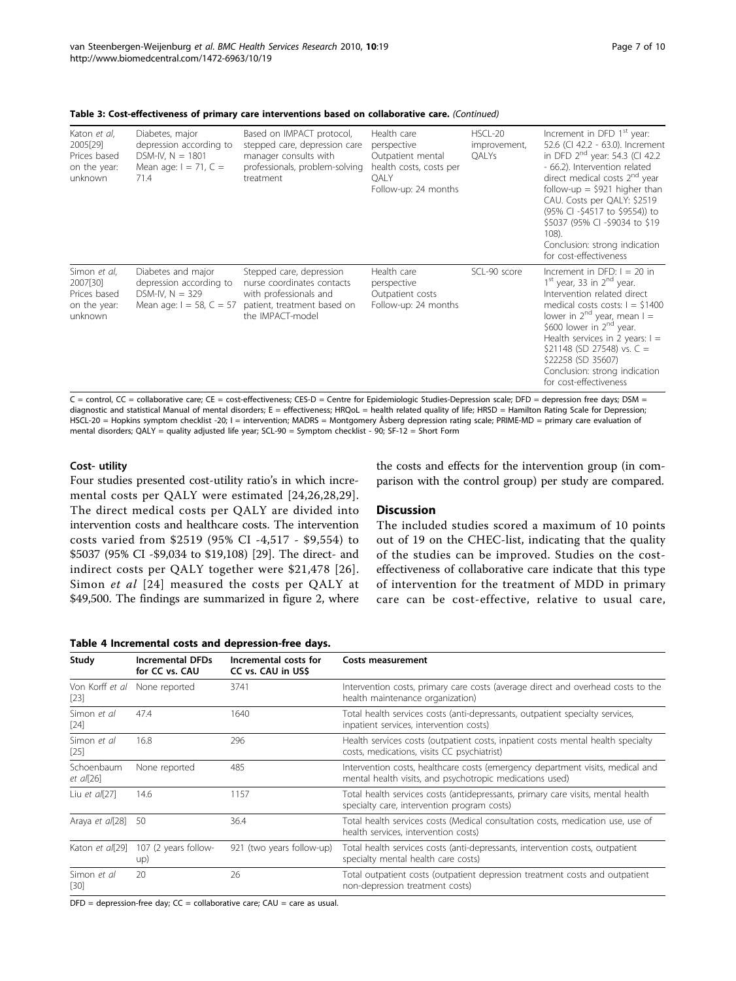| Katon <i>et al</i> ,<br>2005[29]<br>Prices based<br>on the year:<br>unknown | Diabetes, major<br>depression according to<br>DSM-IV, $N = 1801$<br>Mean age: $I = 71$ , $C =$<br>71.4 | Based on IMPACT protocol,<br>stepped care, depression care<br>manager consults with<br>professionals, problem-solving<br>treatment  | Health care<br>perspective<br>Outpatient mental<br>health costs, costs per<br>QALY<br>Follow-up: 24 months | HSCL-20<br>improvement,<br><b>OALYs</b> | Increment in DFD 1 <sup>st</sup> year:<br>52.6 (CI 42.2 - 63.0). Increment<br>in DFD 2 <sup>nd</sup> year: 54.3 (CI 42.2)<br>- 66.2). Intervention related<br>direct medical costs 2 <sup>nd</sup> year<br>follow-up = $$921$ higher than<br>CAU. Costs per QALY: \$2519<br>(95% CI -\$4517 to \$9554)) to<br>\$5037 (95% CI -\$9034 to \$19<br>108).<br>Conclusion: strong indication<br>for cost-effectiveness |
|-----------------------------------------------------------------------------|--------------------------------------------------------------------------------------------------------|-------------------------------------------------------------------------------------------------------------------------------------|------------------------------------------------------------------------------------------------------------|-----------------------------------------|------------------------------------------------------------------------------------------------------------------------------------------------------------------------------------------------------------------------------------------------------------------------------------------------------------------------------------------------------------------------------------------------------------------|
| Simon et al,<br>2007[30]<br>Prices based<br>on the year:<br>unknown         | Diabetes and major<br>depression according to<br>DSM-IV, $N = 329$<br>Mean age: $I = 58$ , $C = 57$    | Stepped care, depression<br>nurse coordinates contacts<br>with professionals and<br>patient, treatment based on<br>the IMPACT-model | Health care<br>perspective<br>Outpatient costs<br>Follow-up: 24 months                                     | SCL-90 score                            | Increment in DFD: $I = 20$ in<br>$1st$ year, 33 in $2nd$ year.<br>Intervention related direct<br>medical costs costs: $I = $1400$<br>lower in $2^{nd}$ year, mean $I =$<br>\$600 lower in $2^{nd}$ year.<br>Health services in 2 years: $I =$<br>\$21148 (SD 27548) vs. $C =$<br>\$22258 (SD 35607)<br>Conclusion: strong indication<br>for cost-effectiveness                                                   |

<span id="page-6-0"></span>Table 3: Cost-effectiveness of primary care interventions based on collaborative care. (Continued)

 $C =$  control,  $CC =$  collaborative care;  $CE =$  cost-effectiveness; CES-D = Centre for Epidemiologic Studies-Depression scale; DFD = depression free days; DSM = diagnostic and statistical Manual of mental disorders; E = effectiveness; HRQoL = health related quality of life; HRSD = Hamilton Rating Scale for Depression; HSCL-20 = Hopkins symptom checklist -20; I = intervention; MADRS = Montgomery Åsberg depression rating scale; PRIME-MD = primary care evaluation of mental disorders; QALY = quality adjusted life year; SCL-90 = Symptom checklist - 90; SF-12 = Short Form

#### Cost- utility

Four studies presented cost-utility ratio's in which incremental costs per QALY were estimated [\[24,26](#page-9-0),[28](#page-9-0),[29\]](#page-9-0). The direct medical costs per QALY are divided into intervention costs and healthcare costs. The intervention costs varied from \$2519 (95% CI -4,517 - \$9,554) to \$5037 (95% CI -\$9,034 to \$19,108) [\[29](#page-9-0)]. The direct- and indirect costs per QALY together were \$21,478 [\[26\]](#page-9-0). Simon et al [[24\]](#page-9-0) measured the costs per QALY at \$49,500. The findings are summarized in figure [2,](#page-7-0) where

Table 4 Incremental costs and depression-free days.

the costs and effects for the intervention group (in comparison with the control group) per study are compared.

#### **Discussion**

The included studies scored a maximum of 10 points out of 19 on the CHEC-list, indicating that the quality of the studies can be improved. Studies on the costeffectiveness of collaborative care indicate that this type of intervention for the treatment of MDD in primary care can be cost-effective, relative to usual care,

|                         |                                             | epression nee aa <i>js</i> :                |                                                                                                                                            |
|-------------------------|---------------------------------------------|---------------------------------------------|--------------------------------------------------------------------------------------------------------------------------------------------|
| Study                   | <b>Incremental DFDs</b><br>for CC vs. CAU   | Incremental costs for<br>CC vs. CAU in US\$ | Costs measurement                                                                                                                          |
| $[23]$                  | Von Korff et al None reported               | 3741                                        | Intervention costs, primary care costs (average direct and overhead costs to the<br>health maintenance organization)                       |
| Simon et al<br>$[24]$   | 47.4                                        | 1640                                        | Total health services costs (anti-depressants, outpatient specialty services,<br>inpatient services, intervention costs)                   |
| Simon et al<br>$[25]$   | 16.8                                        | 296                                         | Health services costs (outpatient costs, inpatient costs mental health specialty<br>costs, medications, visits CC psychiatrist)            |
| Schoenbaum<br>et al[26] | None reported                               | 485                                         | Intervention costs, healthcare costs (emergency department visits, medical and<br>mental health visits, and psychotropic medications used) |
| Liu et $a/[27]$         | 14.6                                        | 1157                                        | Total health services costs (antidepressants, primary care visits, mental health<br>specialty care, intervention program costs)            |
| Araya et al[28]         | -50                                         | 36.4                                        | Total health services costs (Medical consultation costs, medication use, use of<br>health services, intervention costs)                    |
|                         | Katon et al[29] 107 (2 years follow-<br>up) | 921 (two years follow-up)                   | Total health services costs (anti-depressants, intervention costs, outpatient<br>specialty mental health care costs)                       |
| Simon et al<br>[30]     | 20                                          | 26                                          | Total outpatient costs (outpatient depression treatment costs and outpatient<br>non-depression treatment costs)                            |
|                         |                                             |                                             |                                                                                                                                            |

 $DFD =$  depression-free day;  $CC =$  collaborative care;  $CAU =$  care as usual.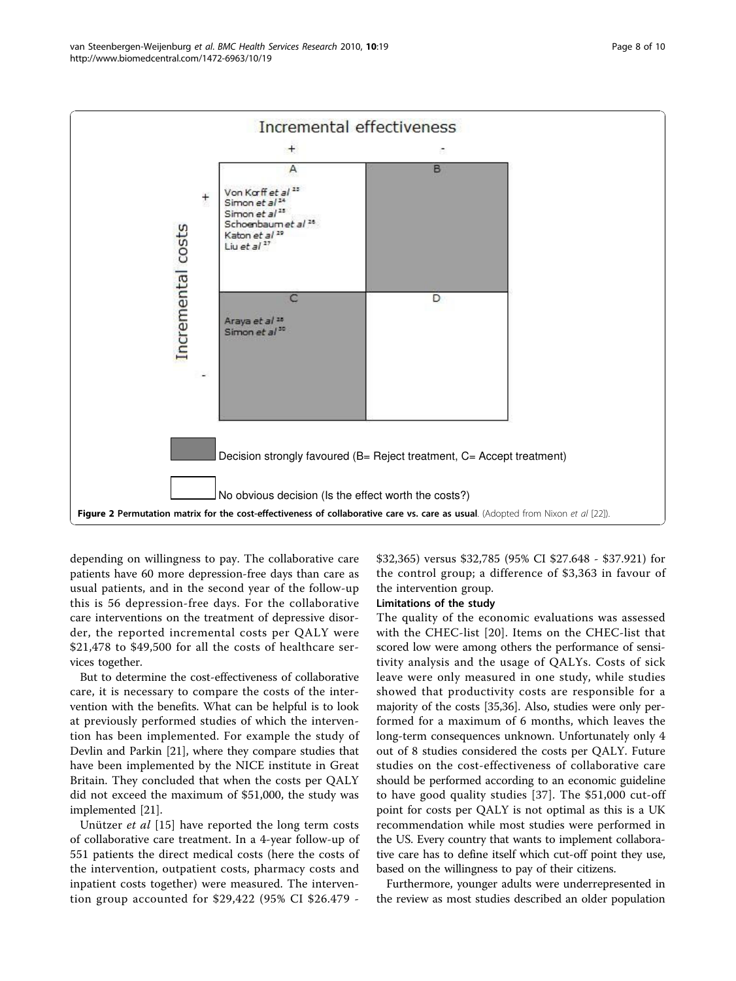<span id="page-7-0"></span>

depending on willingness to pay. The collaborative care patients have 60 more depression-free days than care as usual patients, and in the second year of the follow-up this is 56 depression-free days. For the collaborative care interventions on the treatment of depressive disorder, the reported incremental costs per QALY were \$21,478 to \$49,500 for all the costs of healthcare services together.

But to determine the cost-effectiveness of collaborative care, it is necessary to compare the costs of the intervention with the benefits. What can be helpful is to look at previously performed studies of which the intervention has been implemented. For example the study of Devlin and Parkin [[21](#page-9-0)], where they compare studies that have been implemented by the NICE institute in Great Britain. They concluded that when the costs per QALY did not exceed the maximum of \$51,000, the study was implemented [[21](#page-9-0)].

Unützer *et al* [[15\]](#page-8-0) have reported the long term costs of collaborative care treatment. In a 4-year follow-up of 551 patients the direct medical costs (here the costs of the intervention, outpatient costs, pharmacy costs and inpatient costs together) were measured. The intervention group accounted for \$29,422 (95% CI \$26.479 -

\$32,365) versus \$32,785 (95% CI \$27.648 - \$37.921) for the control group; a difference of \$3,363 in favour of the intervention group.

#### Limitations of the study

The quality of the economic evaluations was assessed with the CHEC-list [\[20\]](#page-9-0). Items on the CHEC-list that scored low were among others the performance of sensitivity analysis and the usage of QALYs. Costs of sick leave were only measured in one study, while studies showed that productivity costs are responsible for a majority of the costs [[35,36](#page-9-0)]. Also, studies were only performed for a maximum of 6 months, which leaves the long-term consequences unknown. Unfortunately only 4 out of 8 studies considered the costs per QALY. Future studies on the cost-effectiveness of collaborative care should be performed according to an economic guideline to have good quality studies [[37\]](#page-9-0). The \$51,000 cut-off point for costs per QALY is not optimal as this is a UK recommendation while most studies were performed in the US. Every country that wants to implement collaborative care has to define itself which cut-off point they use, based on the willingness to pay of their citizens.

Furthermore, younger adults were underrepresented in the review as most studies described an older population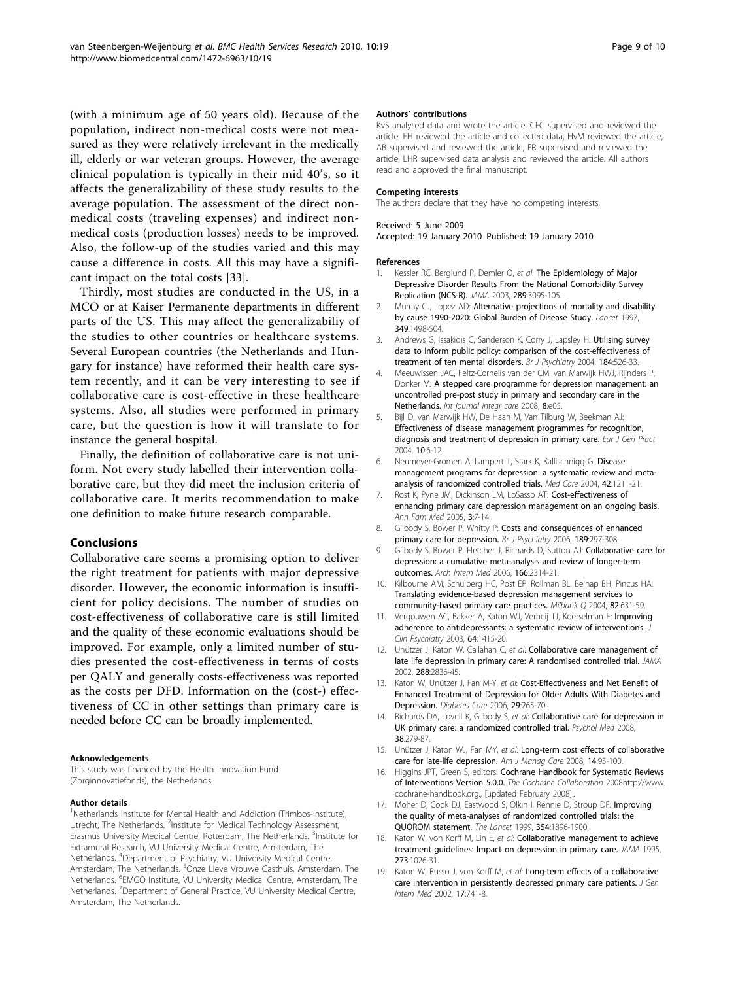<span id="page-8-0"></span>(with a minimum age of 50 years old). Because of the population, indirect non-medical costs were not measured as they were relatively irrelevant in the medically ill, elderly or war veteran groups. However, the average clinical population is typically in their mid 40's, so it affects the generalizability of these study results to the average population. The assessment of the direct nonmedical costs (traveling expenses) and indirect nonmedical costs (production losses) needs to be improved. Also, the follow-up of the studies varied and this may cause a difference in costs. All this may have a significant impact on the total costs [\[33\]](#page-9-0).

Thirdly, most studies are conducted in the US, in a MCO or at Kaiser Permanente departments in different parts of the US. This may affect the generalizabiliy of the studies to other countries or healthcare systems. Several European countries (the Netherlands and Hungary for instance) have reformed their health care system recently, and it can be very interesting to see if collaborative care is cost-effective in these healthcare systems. Also, all studies were performed in primary care, but the question is how it will translate to for instance the general hospital.

Finally, the definition of collaborative care is not uniform. Not every study labelled their intervention collaborative care, but they did meet the inclusion criteria of collaborative care. It merits recommendation to make one definition to make future research comparable.

#### Conclusions

Collaborative care seems a promising option to deliver the right treatment for patients with major depressive disorder. However, the economic information is insufficient for policy decisions. The number of studies on cost-effectiveness of collaborative care is still limited and the quality of these economic evaluations should be improved. For example, only a limited number of studies presented the cost-effectiveness in terms of costs per QALY and generally costs-effectiveness was reported as the costs per DFD. Information on the (cost-) effectiveness of CC in other settings than primary care is needed before CC can be broadly implemented.

#### Acknowledgements

This study was financed by the Health Innovation Fund (Zorginnovatiefonds), the Netherlands.

#### Author details

<sup>1</sup>Netherlands Institute for Mental Health and Addiction (Trimbos-Institute), Utrecht, The Netherlands. <sup>2</sup>Institute for Medical Technology Assessment, Erasmus University Medical Centre, Rotterdam, The Netherlands. <sup>3</sup>Institute for Extramural Research, VU University Medical Centre, Amsterdam, The Netherlands. <sup>4</sup>Department of Psychiatry, VU University Medical Centre, Amsterdam, The Netherlands. <sup>5</sup>Onze Lieve Vrouwe Gasthuis, Amsterdam, The Netherlands. <sup>6</sup>EMGO Institute, VU University Medical Centre, Amsterdam, The Netherlands. <sup>7</sup>Department of General Practice, VU University Medical Centre, Amsterdam, The Netherlands.

#### Authors' contributions

KvS analysed data and wrote the article, CFC supervised and reviewed the article, EH reviewed the article and collected data, HvM reviewed the article, AB supervised and reviewed the article, FR supervised and reviewed the article, LHR supervised data analysis and reviewed the article. All authors read and approved the final manuscript.

#### Competing interests

The authors declare that they have no competing interests.

#### Received: 5 June 2009

Accepted: 19 January 2010 Published: 19 January 2010

#### References

- Kessler RC, Berglund P, Demler O, et al: [The Epidemiology of Major](http://www.ncbi.nlm.nih.gov/pubmed/12813115?dopt=Abstract) [Depressive Disorder Results From the National Comorbidity Survey](http://www.ncbi.nlm.nih.gov/pubmed/12813115?dopt=Abstract) [Replication \(NCS-R\).](http://www.ncbi.nlm.nih.gov/pubmed/12813115?dopt=Abstract) JAMA 2003, 289:3095-105.
- 2. Murray CJ, Lopez AD: [Alternative projections of mortality and disability](http://www.ncbi.nlm.nih.gov/pubmed/9167458?dopt=Abstract) [by cause 1990-2020: Global Burden of Disease Study.](http://www.ncbi.nlm.nih.gov/pubmed/9167458?dopt=Abstract) Lancet 1997, 349:1498-504.
- 3. Andrews G, Issakidis C, Sanderson K, Corry J, Lapsley H: [Utilising survey](http://www.ncbi.nlm.nih.gov/pubmed/15172947?dopt=Abstract) [data to inform public policy: comparison of the cost-effectiveness of](http://www.ncbi.nlm.nih.gov/pubmed/15172947?dopt=Abstract) [treatment of ten mental disorders.](http://www.ncbi.nlm.nih.gov/pubmed/15172947?dopt=Abstract) Br J Psychiatry 2004, 184:526-33.
- 4. Meeuwissen JAC, Feltz-Cornelis van der CM, van Marwijk HWJ, Rijnders P, Donker M: A stepped care programme for depression management: an uncontrolled pre-post study in primary and secondary care in the Netherlands. Int journal integr care 2008, 8:e05.
- 5. Bijl D, van Marwijk HW, De Haan M, Van Tilburg W, Beekman AJ: [Effectiveness of disease management programmes for recognition,](http://www.ncbi.nlm.nih.gov/pubmed/15060475?dopt=Abstract) [diagnosis and treatment of depression in primary care.](http://www.ncbi.nlm.nih.gov/pubmed/15060475?dopt=Abstract) Eur J Gen Pract 2004, 10:6-12.
- 6. Neumeyer-Gromen A, Lampert T, Stark K, Kallischnigg G: [Disease](http://www.ncbi.nlm.nih.gov/pubmed/15550801?dopt=Abstract) [management programs for depression: a systematic review and meta](http://www.ncbi.nlm.nih.gov/pubmed/15550801?dopt=Abstract)[analysis of randomized controlled trials.](http://www.ncbi.nlm.nih.gov/pubmed/15550801?dopt=Abstract) Med Care 2004, 42:1211-21.
- 7. Rost K, Pyne JM, Dickinson LM, LoSasso AT: [Cost-effectiveness of](http://www.ncbi.nlm.nih.gov/pubmed/15671185?dopt=Abstract) [enhancing primary care depression management on an ongoing basis.](http://www.ncbi.nlm.nih.gov/pubmed/15671185?dopt=Abstract) Ann Fam Med 2005, 3:7-14.
- 8. Gilbody S, Bower P, Whitty P: [Costs and consequences of enhanced](http://www.ncbi.nlm.nih.gov/pubmed/17012652?dopt=Abstract) [primary care for depression.](http://www.ncbi.nlm.nih.gov/pubmed/17012652?dopt=Abstract) Br J Psychiatry 2006, 189:297-308.
- 9. Gilbody S, Bower P, Fletcher J, Richards D, Sutton AJ: [Collaborative care for](http://www.ncbi.nlm.nih.gov/pubmed/17130383?dopt=Abstract) [depression: a cumulative meta-analysis and review of longer-term](http://www.ncbi.nlm.nih.gov/pubmed/17130383?dopt=Abstract) [outcomes.](http://www.ncbi.nlm.nih.gov/pubmed/17130383?dopt=Abstract) Arch Intern Med 2006, 166:2314-21.
- 10. Kilbourne AM, Schulberg HC, Post EP, Rollman BL, Belnap BH, Pincus HA: [Translating evidence-based depression management services to](http://www.ncbi.nlm.nih.gov/pubmed/15595945?dopt=Abstract) [community-based primary care practices.](http://www.ncbi.nlm.nih.gov/pubmed/15595945?dopt=Abstract) Milbank Q 2004, 82:631-59.
- 11. Vergouwen AC, Bakker A, Katon WJ, Verheij TJ, Koerselman F: [Improving](http://www.ncbi.nlm.nih.gov/pubmed/14728101?dopt=Abstract) [adherence to antidepressants: a systematic review of interventions.](http://www.ncbi.nlm.nih.gov/pubmed/14728101?dopt=Abstract) Clin Psychiatry 2003, 64:1415-20.
- 12. Unützer J, Katon W, Callahan C, et al: [Collaborative care management of](http://www.ncbi.nlm.nih.gov/pubmed/12472325?dopt=Abstract) [late life depression in primary care: A randomised controlled trial.](http://www.ncbi.nlm.nih.gov/pubmed/12472325?dopt=Abstract) JAMA 2002, 288:2836-45.
- 13. Katon W, Unützer J, Fan M-Y, et al: [Cost-Effectiveness and Net Benefit of](http://www.ncbi.nlm.nih.gov/pubmed/16443871?dopt=Abstract) [Enhanced Treatment of Depression for Older Adults With Diabetes and](http://www.ncbi.nlm.nih.gov/pubmed/16443871?dopt=Abstract) [Depression.](http://www.ncbi.nlm.nih.gov/pubmed/16443871?dopt=Abstract) Diabetes Care 2006, 29:265-70.
- 14. Richards DA, Lovell K, Gilbody S, et al: [Collaborative care for depression in](http://www.ncbi.nlm.nih.gov/pubmed/17803837?dopt=Abstract) [UK primary care: a randomized controlled trial.](http://www.ncbi.nlm.nih.gov/pubmed/17803837?dopt=Abstract) Psychol Med 2008, 38:279-87.
- 15. Unützer J, Katon WJ, Fan MY, et al: [Long-term cost effects of collaborative](http://www.ncbi.nlm.nih.gov/pubmed/18269305?dopt=Abstract) [care for late-life depression.](http://www.ncbi.nlm.nih.gov/pubmed/18269305?dopt=Abstract) Am J Manag Care 2008, 14:95-100.
- 16. Higgins JPT, Green S, editors: Cochrane Handbook for Systematic Reviews of Interventions Version 5.0.0. The Cochrane Collaboration 200[8http://www.](http://www.cochrane-handbook.org.) [cochrane-handbook.org.,](http://www.cochrane-handbook.org.) [updated February 2008]..
- 17. Moher D, Cook DJ, Eastwood S, Olkin I, Rennie D, Stroup DF: Improving the quality of meta-analyses of randomized controlled trials: the QUOROM statement. The Lancet 1999, 354:1896-1900.
- 18. Katon W, von Korff M, Lin E, et al: [Collaborative management to achieve](http://www.ncbi.nlm.nih.gov/pubmed/7897786?dopt=Abstract) [treatment guidelines: Impact on depression in primary care.](http://www.ncbi.nlm.nih.gov/pubmed/7897786?dopt=Abstract) JAMA 1995, 273:1026-31.
- 19. Katon W, Russo J, von Korff M, et al: [Long-term effects of a collaborative](http://www.ncbi.nlm.nih.gov/pubmed/12390549?dopt=Abstract) [care intervention in persistently depressed primary care patients.](http://www.ncbi.nlm.nih.gov/pubmed/12390549?dopt=Abstract) J Gen Intern Med 2002, 17:741-8.